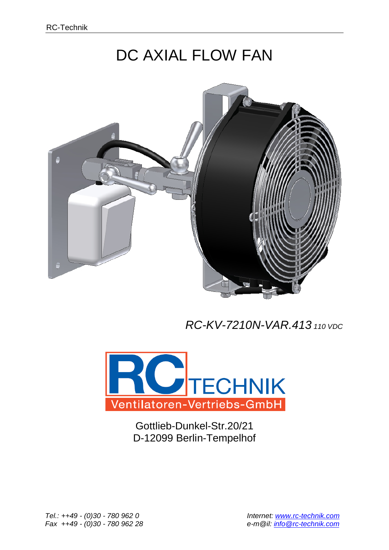## DC AXIAL FLOW FAN



## *RC-KV-7210N-VAR.413 <sup>110</sup> VDC*



Gottlieb-Dunkel-Str.20/21 D-12099 Berlin-Tempelhof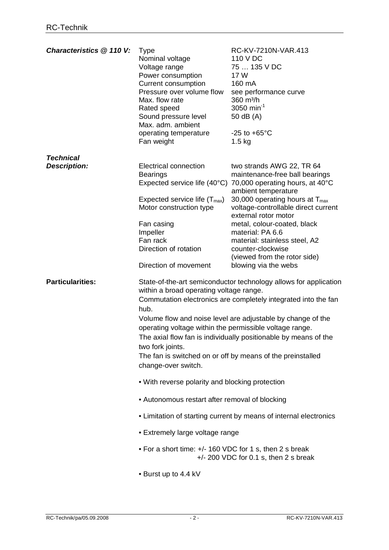| Characteristics @ 110 V:                | <b>Type</b><br>Nominal voltage<br>Voltage range<br>Power consumption<br><b>Current consumption</b><br>Pressure over volume flow<br>Max. flow rate<br>Rated speed<br>Sound pressure level<br>Max. adm. ambient<br>operating temperature<br>Fan weight | RC-KV-7210N-VAR.413<br>110 V DC<br>75  135 V DC<br>17 W<br>160 mA<br>see performance curve<br>360 m <sup>3</sup> /h<br>3050 min <sup>-1</sup><br>50 dB (A)<br>$-25$ to $+65^{\circ}$ C<br>$1.5$ kg                                                                                                                                 |
|-----------------------------------------|------------------------------------------------------------------------------------------------------------------------------------------------------------------------------------------------------------------------------------------------------|------------------------------------------------------------------------------------------------------------------------------------------------------------------------------------------------------------------------------------------------------------------------------------------------------------------------------------|
|                                         |                                                                                                                                                                                                                                                      |                                                                                                                                                                                                                                                                                                                                    |
| <b>Technical</b><br><b>Description:</b> | Electrical connection<br><b>Bearings</b><br>Expected service life (40°C)<br>Expected service life $(T_{max})$<br>Motor construction type                                                                                                             | two strands AWG 22, TR 64<br>maintenance-free ball bearings<br>70,000 operating hours, at 40°C<br>ambient temperature<br>30,000 operating hours at $T_{\text{max}}$<br>voltage-controllable direct current                                                                                                                         |
|                                         | Fan casing<br>Impeller<br>Fan rack<br>Direction of rotation                                                                                                                                                                                          | external rotor motor<br>metal, colour-coated, black<br>material: PA 6.6<br>material: stainless steel, A2<br>counter-clockwise<br>(viewed from the rotor side)                                                                                                                                                                      |
|                                         | Direction of movement                                                                                                                                                                                                                                | blowing via the webs                                                                                                                                                                                                                                                                                                               |
| <b>Particularities:</b>                 | within a broad operating voltage range.<br>hub.<br>operating voltage within the permissible voltage range.<br>two fork joints.<br>change-over switch.                                                                                                | State-of-the-art semiconductor technology allows for application<br>Commutation electronics are completely integrated into the fan<br>Volume flow and noise level are adjustable by change of the<br>The axial flow fan is individually positionable by means of the<br>The fan is switched on or off by means of the preinstalled |
|                                         | . With reverse polarity and blocking protection                                                                                                                                                                                                      |                                                                                                                                                                                                                                                                                                                                    |
|                                         | • Autonomous restart after removal of blocking                                                                                                                                                                                                       |                                                                                                                                                                                                                                                                                                                                    |
|                                         |                                                                                                                                                                                                                                                      | • Limitation of starting current by means of internal electronics                                                                                                                                                                                                                                                                  |
|                                         | • Extremely large voltage range                                                                                                                                                                                                                      |                                                                                                                                                                                                                                                                                                                                    |
|                                         | • For a short time: +/- 160 VDC for 1 s, then 2 s break                                                                                                                                                                                              | $+/- 200$ VDC for 0.1 s, then 2 s break                                                                                                                                                                                                                                                                                            |
|                                         | • Burst up to 4.4 kV                                                                                                                                                                                                                                 |                                                                                                                                                                                                                                                                                                                                    |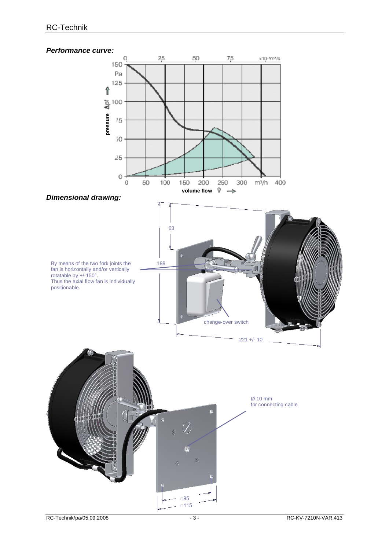## *Performance curve:*